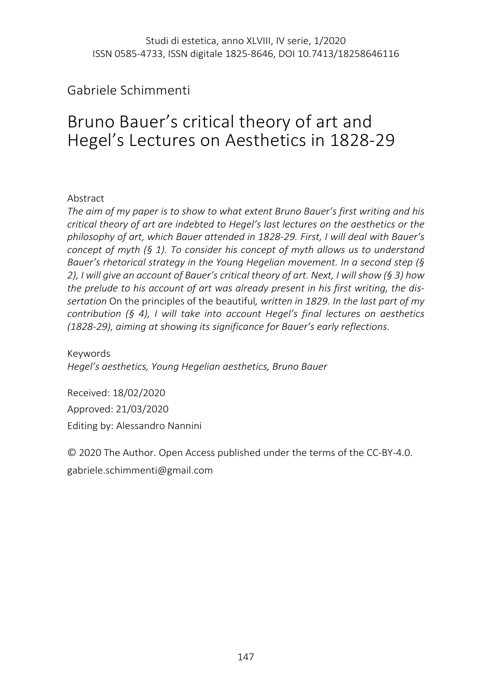## Gabriele Schimmenti

# Bruno Bauer's critical theory of art and Hegel's Lectures on Aesthetics in 1828-29

#### Abstract

*The aim of my paper is to show to what extent Bruno Bauer's first writing and his critical theory of art are indebted to Hegel's last lectures on the aesthetics or the philosophy of art, which Bauer attended in 1828-29. First, I will deal with Bauer's concept of myth (§ 1). To consider his concept of myth allows us to understand Bauer's rhetorical strategy in the Young Hegelian movement. In a second step (§ 2), I will give an account of Bauer's critical theory of art. Next, I will show (§ 3) how the prelude to his account of art was already present in his first writing, the dissertation* On the principles of the beautiful*, written in 1829. In the last part of my contribution (§ 4), I will take into account Hegel's final lectures on aesthetics (1828-29), aiming at showing its significance for Bauer's early reflections.*

Keywords *Hegel's aesthetics, Young Hegelian aesthetics, Bruno Bauer* 

Received: 18/02/2020 Approved: 21/03/2020 Editing by: Alessandro Nannini

© 2020 The Author. Open Access published under the terms of the CC-BY-4.0. gabriele.schimmenti@gmail.com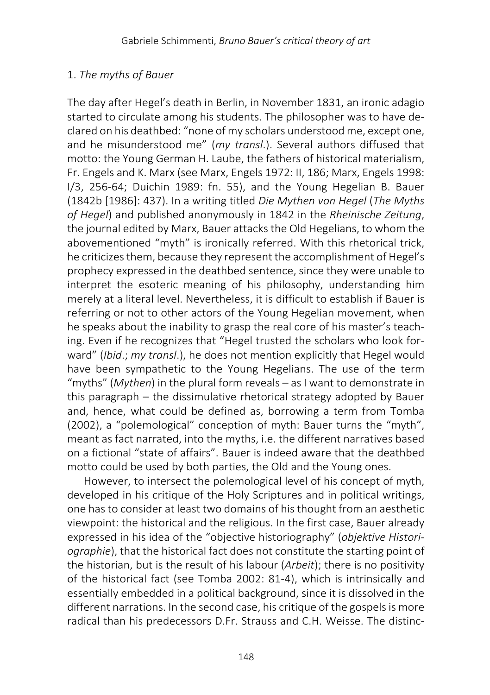## 1. *The myths of Bauer*

The day after Hegel's death in Berlin, in November 1831, an ironic adagio started to circulate among his students. The philosopher was to have declared on his deathbed: "none of my scholars understood me, except one, and he misunderstood me" (*my transl*.). Several authors diffused that motto: the Young German H. Laube, the fathers of historical materialism, Fr. Engels and K. Marx (see Marx, Engels 1972: II, 186; Marx, Engels 1998: I/3, 256-64; Duichin 1989: fn. 55), and the Young Hegelian B. Bauer (1842b [1986]: 437). In a writing titled *Die Mythen von Hegel* (*The Myths of Hegel*) and published anonymously in 1842 in the *Rheinische Zeitung*, the journal edited by Marx, Bauer attacks the Old Hegelians, to whom the abovementioned "myth" is ironically referred. With this rhetorical trick, he criticizes them, because they represent the accomplishment of Hegel's prophecy expressed in the deathbed sentence, since they were unable to interpret the esoteric meaning of his philosophy, understanding him merely at a literal level. Nevertheless, it is difficult to establish if Bauer is referring or not to other actors of the Young Hegelian movement, when he speaks about the inability to grasp the real core of his master's teaching. Even if he recognizes that "Hegel trusted the scholars who look forward" (*Ibid*.; *my transl*.), he does not mention explicitly that Hegel would have been sympathetic to the Young Hegelians. The use of the term "myths" (*Mythen*) in the plural form reveals – as I want to demonstrate in this paragraph – the dissimulative rhetorical strategy adopted by Bauer and, hence, what could be defined as, borrowing a term from Tomba (2002), a "polemological" conception of myth: Bauer turns the "myth", meant as fact narrated, into the myths, i.e. the different narratives based on a fictional "state of affairs". Bauer is indeed aware that the deathbed motto could be used by both parties, the Old and the Young ones.

However, to intersect the polemological level of his concept of myth, developed in his critique of the Holy Scriptures and in political writings, one has to consider at least two domains of his thought from an aesthetic viewpoint: the historical and the religious. In the first case, Bauer already expressed in his idea of the "objective historiography" (*objektive Historiographie*), that the historical fact does not constitute the starting point of the historian, but is the result of his labour (*Arbeit*); there is no positivity of the historical fact (see Tomba 2002: 81-4), which is intrinsically and essentially embedded in a political background, since it is dissolved in the different narrations. In the second case, his critique of the gospels is more radical than his predecessors D.Fr. Strauss and C.H. Weisse. The distinc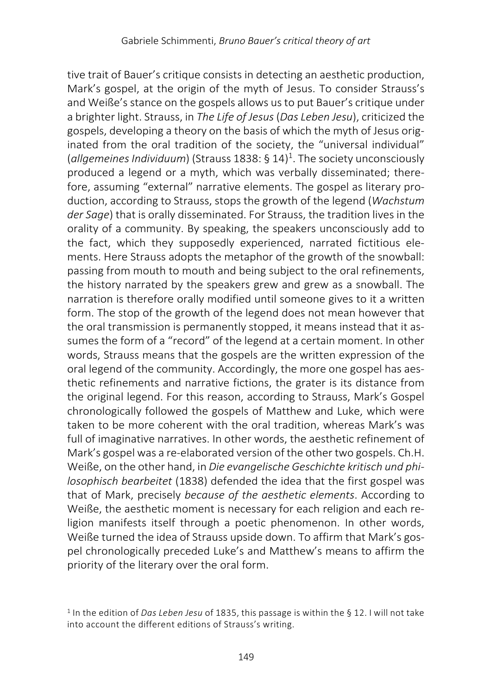tive trait of Bauer's critique consists in detecting an aesthetic production, Mark's gospel, at the origin of the myth of Jesus. To consider Strauss's and Weiße's stance on the gospels allows us to put Bauer's critique under a brighter light. Strauss, in *The Life of Jesus*(*Das Leben Jesu*), criticized the gospels, developing a theory on the basis of which the myth of Jesus originated from the oral tradition of the society, the "universal individual" (*allgemeines Individuum*) (Strauss 1838: § 14)1 . The society unconsciously produced a legend or a myth, which was verbally disseminated; therefore, assuming "external" narrative elements. The gospel as literary production, according to Strauss, stops the growth of the legend (*Wachstum der Sage*) that is orally disseminated. For Strauss, the tradition lives in the orality of a community. By speaking, the speakers unconsciously add to the fact, which they supposedly experienced, narrated fictitious elements. Here Strauss adopts the metaphor of the growth of the snowball: passing from mouth to mouth and being subject to the oral refinements, the history narrated by the speakers grew and grew as a snowball. The narration is therefore orally modified until someone gives to it a written form. The stop of the growth of the legend does not mean however that the oral transmission is permanently stopped, it means instead that it assumes the form of a "record" of the legend at a certain moment. In other words, Strauss means that the gospels are the written expression of the oral legend of the community. Accordingly, the more one gospel has aesthetic refinements and narrative fictions, the grater is its distance from the original legend. For this reason, according to Strauss, Mark's Gospel chronologically followed the gospels of Matthew and Luke, which were taken to be more coherent with the oral tradition, whereas Mark's was full of imaginative narratives. In other words, the aesthetic refinement of Mark's gospel was a re-elaborated version of the other two gospels. Ch.H. Weiße, on the other hand, in *Die evangelische Geschichte kritisch und philosophisch bearbeitet* (1838) defended the idea that the first gospel was that of Mark, precisely *because of the aesthetic elements*. According to Weiße, the aesthetic moment is necessary for each religion and each religion manifests itself through a poetic phenomenon. In other words, Weiße turned the idea of Strauss upside down. To affirm that Mark's gospel chronologically preceded Luke's and Matthew's means to affirm the priority of the literary over the oral form.

<sup>1</sup> In the edition of *Das Leben Jesu* of 1835, this passage is within the § 12. I will not take into account the different editions of Strauss's writing.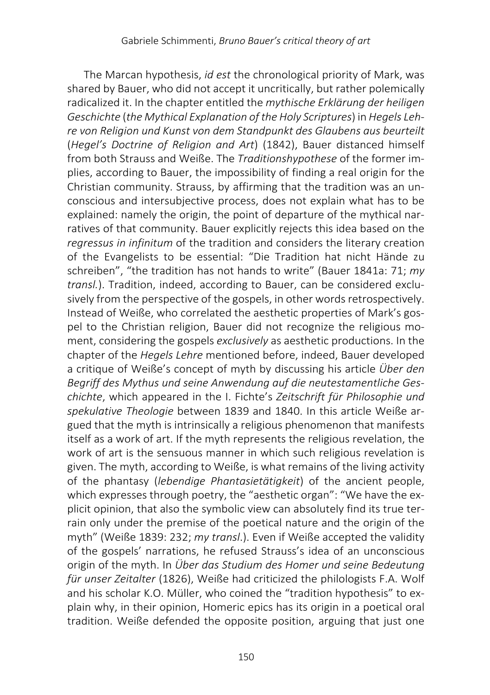The Marcan hypothesis, *id est* the chronological priority of Mark, was shared by Bauer, who did not accept it uncritically, but rather polemically radicalized it. In the chapter entitled the *mythische Erklärung der heiligen Geschichte* (*the Mythical Explanation of the Holy Scriptures*) in *Hegels Lehre von Religion und Kunst von dem Standpunkt des Glaubens aus beurteilt* (*Hegel's Doctrine of Religion and Art*) (1842), Bauer distanced himself from both Strauss and Weiße. The *Traditionshypothese* of the former implies, according to Bauer, the impossibility of finding a real origin for the Christian community. Strauss, by affirming that the tradition was an unconscious and intersubjective process, does not explain what has to be explained: namely the origin, the point of departure of the mythical narratives of that community. Bauer explicitly rejects this idea based on the *regressus in infinitum* of the tradition and considers the literary creation of the Evangelists to be essential: "Die Tradition hat nicht Hände zu schreiben", "the tradition has not hands to write" (Bauer 1841a: 71; *my transl.*). Tradition, indeed, according to Bauer, can be considered exclusively from the perspective of the gospels, in other words retrospectively. Instead of Weiße, who correlated the aesthetic properties of Mark's gospel to the Christian religion, Bauer did not recognize the religious moment, considering the gospels *exclusively* as aesthetic productions. In the chapter of the *Hegels Lehre* mentioned before, indeed, Bauer developed a critique of Weiße's concept of myth by discussing his article *Über den Begriff des Mythus und seine Anwendung auf die neutestamentliche Geschichte*, which appeared in the I. Fichte's *Zeitschrift für Philosophie und spekulative Theologie* between 1839 and 1840. In this article Weiße argued that the myth is intrinsically a religious phenomenon that manifests itself as a work of art. If the myth represents the religious revelation, the work of art is the sensuous manner in which such religious revelation is given. The myth, according to Weiße, is what remains of the living activity of the phantasy (*lebendige Phantasietätigkeit*) of the ancient people, which expresses through poetry, the "aesthetic organ": "We have the explicit opinion, that also the symbolic view can absolutely find its true terrain only under the premise of the poetical nature and the origin of the myth" (Weiße 1839: 232; *my transl*.). Even if Weiße accepted the validity of the gospels' narrations, he refused Strauss's idea of an unconscious origin of the myth. In *Über das Studium des Homer und seine Bedeutung für unser Zeitalter* (1826), Weiße had criticized the philologists F.A. Wolf and his scholar K.O. Müller, who coined the "tradition hypothesis" to explain why, in their opinion, Homeric epics has its origin in a poetical oral tradition. Weiße defended the opposite position, arguing that just one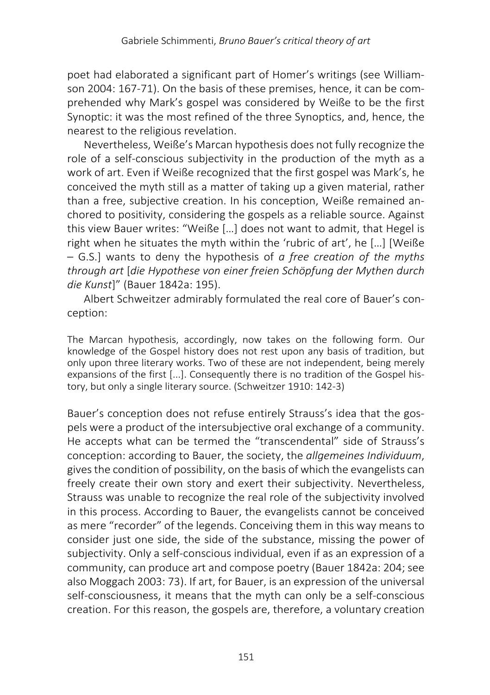poet had elaborated a significant part of Homer's writings (see Williamson 2004: 167-71). On the basis of these premises, hence, it can be comprehended why Mark's gospel was considered by Weiße to be the first Synoptic: it was the most refined of the three Synoptics, and, hence, the nearest to the religious revelation.

Nevertheless, Weiße's Marcan hypothesis does not fully recognize the role of a self-conscious subjectivity in the production of the myth as a work of art. Even if Weiße recognized that the first gospel was Mark's, he conceived the myth still as a matter of taking up a given material, rather than a free, subjective creation. In his conception, Weiße remained anchored to positivity, considering the gospels as a reliable source. Against this view Bauer writes: "Weiße […] does not want to admit, that Hegel is right when he situates the myth within the 'rubric of art', he […] [Weiße – G.S.] wants to deny the hypothesis of *a free creation of the myths through art* [*die Hypothese von einer freien Schöpfung der Mythen durch die Kunst*]" (Bauer 1842a: 195).

Albert Schweitzer admirably formulated the real core of Bauer's conception:

The Marcan hypothesis, accordingly, now takes on the following form. Our knowledge of the Gospel history does not rest upon any basis of tradition, but only upon three literary works. Two of these are not independent, being merely expansions of the first [...]. Consequently there is no tradition of the Gospel history, but only a single literary source. (Schweitzer 1910: 142-3)

Bauer's conception does not refuse entirely Strauss's idea that the gospels were a product of the intersubjective oral exchange of a community. He accepts what can be termed the "transcendental" side of Strauss's conception: according to Bauer, the society, the *allgemeines Individuum*, gives the condition of possibility, on the basis of which the evangelists can freely create their own story and exert their subjectivity. Nevertheless, Strauss was unable to recognize the real role of the subjectivity involved in this process. According to Bauer, the evangelists cannot be conceived as mere "recorder" of the legends. Conceiving them in this way means to consider just one side, the side of the substance, missing the power of subjectivity. Only a self-conscious individual, even if as an expression of a community, can produce art and compose poetry (Bauer 1842a: 204; see also Moggach 2003: 73). If art, for Bauer, is an expression of the universal self-consciousness, it means that the myth can only be a self-conscious creation. For this reason, the gospels are, therefore, a voluntary creation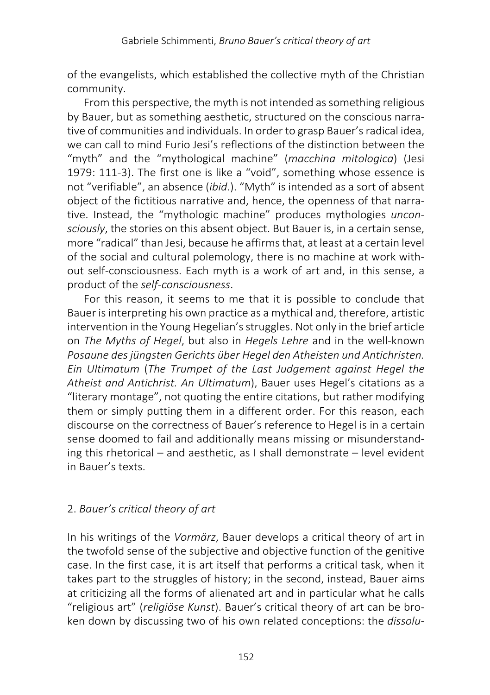of the evangelists, which established the collective myth of the Christian community.

From this perspective, the myth is not intended as something religious by Bauer, but as something aesthetic, structured on the conscious narrative of communities and individuals. In order to grasp Bauer's radical idea, we can call to mind Furio Jesi's reflections of the distinction between the "myth" and the "mythological machine" (*macchina mitologica*) (Jesi 1979: 111-3). The first one is like a "void", something whose essence is not "verifiable", an absence (*ibid*.). "Myth" is intended as a sort of absent object of the fictitious narrative and, hence, the openness of that narrative. Instead, the "mythologic machine" produces mythologies *unconsciously*, the stories on this absent object. But Bauer is, in a certain sense, more "radical" than Jesi, because he affirms that, at least at a certain level of the social and cultural polemology, there is no machine at work without self-consciousness. Each myth is a work of art and, in this sense, a product of the *self-consciousness*.

For this reason, it seems to me that it is possible to conclude that Bauer is interpreting his own practice as a mythical and, therefore, artistic intervention in the Young Hegelian's struggles. Not only in the brief article on *The Myths of Hegel*, but also in *Hegels Lehre* and in the well-known *Posaune des jüngsten Gerichts über Hegel den Atheisten und Antichristen. Ein Ultimatum* (*The Trumpet of the Last Judgement against Hegel the Atheist and Antichrist. An Ultimatum*), Bauer uses Hegel's citations as a "literary montage", not quoting the entire citations, but rather modifying them or simply putting them in a different order. For this reason, each discourse on the correctness of Bauer's reference to Hegel is in a certain sense doomed to fail and additionally means missing or misunderstanding this rhetorical – and aesthetic, as I shall demonstrate – level evident in Bauer's texts.

## 2. *Bauer's critical theory of art*

In his writings of the *Vormärz*, Bauer develops a critical theory of art in the twofold sense of the subjective and objective function of the genitive case. In the first case, it is art itself that performs a critical task, when it takes part to the struggles of history; in the second, instead, Bauer aims at criticizing all the forms of alienated art and in particular what he calls "religious art" (*religiöse Kunst*). Bauer's critical theory of art can be broken down by discussing two of his own related conceptions: the *dissolu-*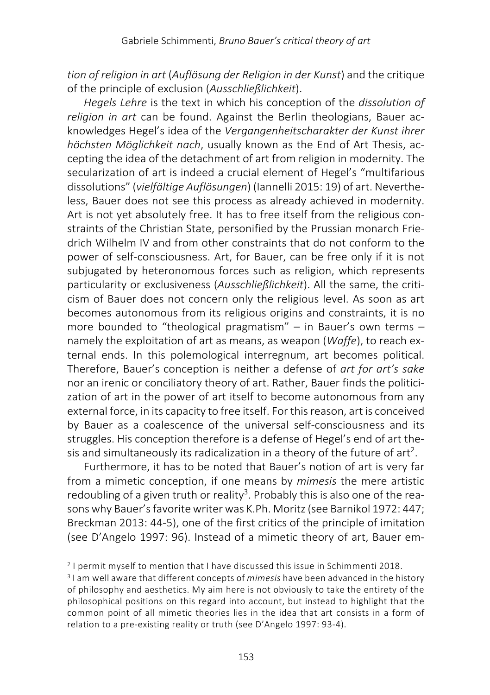*tion of religion in art* (*Auflösung der Religion in der Kunst*) and the critique of the principle of exclusion (*Ausschließlichkeit*).

*Hegels Lehre* is the text in which his conception of the *dissolution of religion in art* can be found. Against the Berlin theologians, Bauer acknowledges Hegel's idea of the *Vergangenheitscharakter der Kunst ihrer höchsten Möglichkeit nach*, usually known as the End of Art Thesis, accepting the idea of the detachment of art from religion in modernity. The secularization of art is indeed a crucial element of Hegel's "multifarious dissolutions" (*vielfältige Auflösungen*) (Iannelli 2015: 19) of art. Nevertheless, Bauer does not see this process as already achieved in modernity. Art is not yet absolutely free. It has to free itself from the religious constraints of the Christian State, personified by the Prussian monarch Friedrich Wilhelm IV and from other constraints that do not conform to the power of self-consciousness. Art, for Bauer, can be free only if it is not subjugated by heteronomous forces such as religion, which represents particularity or exclusiveness (*Ausschließlichkeit*). All the same, the criticism of Bauer does not concern only the religious level. As soon as art becomes autonomous from its religious origins and constraints, it is no more bounded to "theological pragmatism" – in Bauer's own terms – namely the exploitation of art as means, as weapon (*Waffe*), to reach external ends. In this polemological interregnum, art becomes political. Therefore, Bauer's conception is neither a defense of *art for art's sake* nor an irenic or conciliatory theory of art. Rather, Bauer finds the politicization of art in the power of art itself to become autonomous from any external force, in its capacity to free itself. For this reason, art is conceived by Bauer as a coalescence of the universal self-consciousness and its struggles. His conception therefore is a defense of Hegel's end of art thesis and simultaneously its radicalization in a theory of the future of art<sup>2</sup>.

Furthermore, it has to be noted that Bauer's notion of art is very far from a mimetic conception, if one means by *mimesis* the mere artistic redoubling of a given truth or reality<sup>3</sup>. Probably this is also one of the reasons why Bauer's favorite writer was K.Ph. Moritz (see Barnikol 1972: 447; Breckman 2013: 44-5), one of the first critics of the principle of imitation (see D'Angelo 1997: 96). Instead of a mimetic theory of art, Bauer em-

<sup>2</sup> I permit myself to mention that I have discussed this issue in Schimmenti 2018.

<sup>3</sup> I am well aware that different concepts of *mimesis* have been advanced in the history of philosophy and aesthetics. My aim here is not obviously to take the entirety of the philosophical positions on this regard into account, but instead to highlight that the common point of all mimetic theories lies in the idea that art consists in a form of relation to a pre-existing reality or truth (see D'Angelo 1997: 93-4).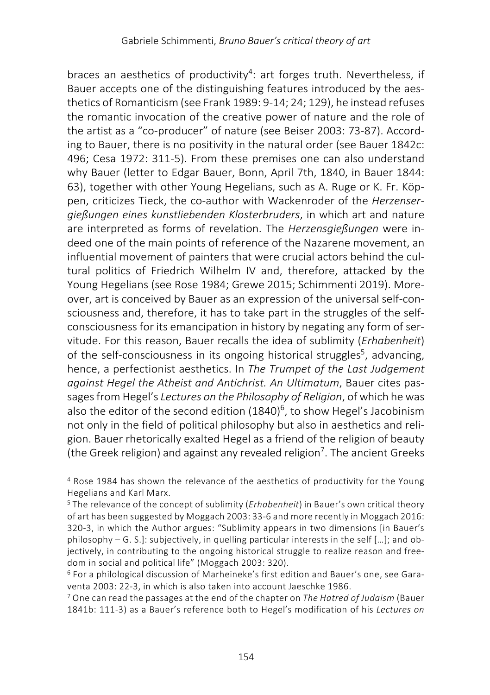braces an aesthetics of productivity<sup>4</sup>: art forges truth. Nevertheless, if Bauer accepts one of the distinguishing features introduced by the aesthetics of Romanticism (see Frank 1989: 9-14; 24; 129), he instead refuses the romantic invocation of the creative power of nature and the role of the artist as a "co-producer" of nature (see Beiser 2003: 73-87). According to Bauer, there is no positivity in the natural order (see Bauer 1842c: 496; Cesa 1972: 311-5). From these premises one can also understand why Bauer (letter to Edgar Bauer, Bonn, April 7th, 1840, in Bauer 1844: 63), together with other Young Hegelians, such as A. Ruge or K. Fr. Köppen, criticizes Tieck, the co-author with Wackenroder of the *Herzensergießungen eines kunstliebenden Klosterbruders*, in which art and nature are interpreted as forms of revelation. The *Herzensgießungen* were indeed one of the main points of reference of the Nazarene movement, an influential movement of painters that were crucial actors behind the cultural politics of Friedrich Wilhelm IV and, therefore, attacked by the Young Hegelians (see Rose 1984; Grewe 2015; Schimmenti 2019). Moreover, art is conceived by Bauer as an expression of the universal self-consciousness and, therefore, it has to take part in the struggles of the selfconsciousness for its emancipation in history by negating any form of servitude. For this reason, Bauer recalls the idea of sublimity (*Erhabenheit*) of the self-consciousness in its ongoing historical struggles<sup>5</sup>, advancing, hence, a perfectionist aesthetics. In *The Trumpet of the Last Judgement against Hegel the Atheist and Antichrist. An Ultimatum*, Bauer cites passages from Hegel's *Lectures on the Philosophy of Religion*, of which he was also the editor of the second edition  $(1840)^6$ , to show Hegel's Jacobinism not only in the field of political philosophy but also in aesthetics and religion. Bauer rhetorically exalted Hegel as a friend of the religion of beauty (the Greek religion) and against any revealed religion<sup>7</sup>. The ancient Greeks

<sup>4</sup> Rose 1984 has shown the relevance of the aesthetics of productivity for the Young Hegelians and Karl Marx.

<sup>5</sup> The relevance of the concept of sublimity (*Erhabenheit*) in Bauer's own critical theory of art has been suggested by Moggach 2003: 33-6 and more recently in Moggach 2016: 320-3, in which the Author argues: "Sublimity appears in two dimensions [in Bauer's philosophy – G. S.]: subjectively, in quelling particular interests in the self […]; and objectively, in contributing to the ongoing historical struggle to realize reason and freedom in social and political life" (Moggach 2003: 320).

<sup>6</sup> For a philological discussion of Marheineke's first edition and Bauer's one, see Garaventa 2003: 22-3, in which is also taken into account Jaeschke 1986.

<sup>7</sup> One can read the passages at the end of the chapter on *The Hatred of Judaism* (Bauer 1841b: 111-3) as a Bauer's reference both to Hegel's modification of his *Lectures on*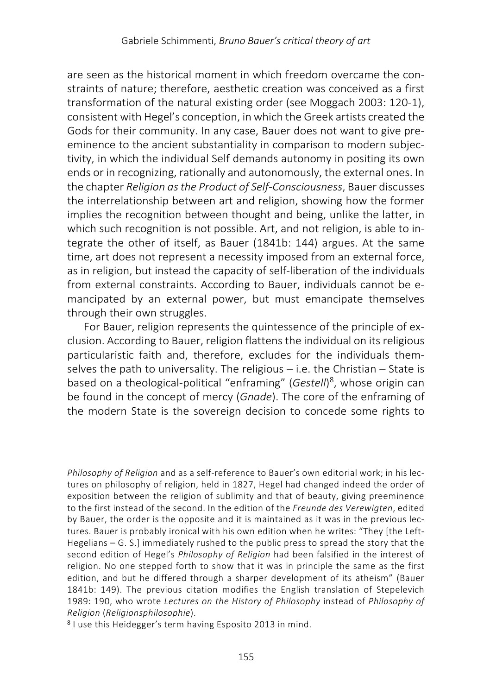are seen as the historical moment in which freedom overcame the constraints of nature; therefore, aesthetic creation was conceived as a first transformation of the natural existing order (see Moggach 2003: 120-1), consistent with Hegel's conception, in which the Greek artists created the Gods for their community. In any case, Bauer does not want to give preeminence to the ancient substantiality in comparison to modern subjectivity, in which the individual Self demands autonomy in positing its own ends or in recognizing, rationally and autonomously, the external ones. In the chapter *Religion as the Product of Self-Consciousness*, Bauer discusses the interrelationship between art and religion, showing how the former implies the recognition between thought and being, unlike the latter, in which such recognition is not possible. Art, and not religion, is able to integrate the other of itself, as Bauer (1841b: 144) argues. At the same time, art does not represent a necessity imposed from an external force, as in religion, but instead the capacity of self-liberation of the individuals from external constraints. According to Bauer, individuals cannot be emancipated by an external power, but must emancipate themselves through their own struggles.

For Bauer, religion represents the quintessence of the principle of exclusion. According to Bauer, religion flattens the individual on its religious particularistic faith and, therefore, excludes for the individuals themselves the path to universality. The religious  $-$  i.e. the Christian  $-$  State is based on a theological-political "enframing" (*Gestell*) 8 , whose origin can be found in the concept of mercy (*Gnade*). The core of the enframing of the modern State is the sovereign decision to concede some rights to

*Philosophy of Religion* and as a self-reference to Bauer's own editorial work; in his lectures on philosophy of religion, held in 1827, Hegel had changed indeed the order of exposition between the religion of sublimity and that of beauty, giving preeminence to the first instead of the second. In the edition of the *Freunde des Verewigten*, edited by Bauer, the order is the opposite and it is maintained as it was in the previous lectures. Bauer is probably ironical with his own edition when he writes: "They [the Left-Hegelians – G. S.] immediately rushed to the public press to spread the story that the second edition of Hegel's *Philosophy of Religion* had been falsified in the interest of religion. No one stepped forth to show that it was in principle the same as the first edition, and but he differed through a sharper development of its atheism" (Bauer 1841b: 149). The previous citation modifies the English translation of Stepelevich 1989: 190, who wrote *Lectures on the History of Philosophy* instead of *Philosophy of Religion* (*Religionsphilosophie*).

<sup>8</sup> I use this Heidegger's term having Esposito 2013 in mind.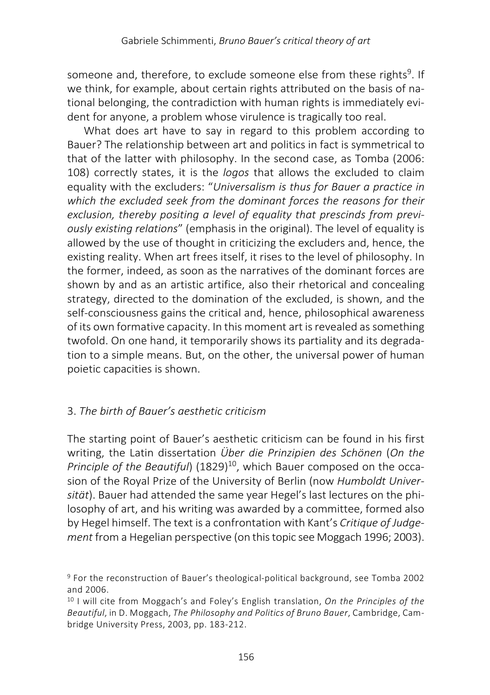someone and, therefore, to exclude someone else from these rights<sup>9</sup>. If we think, for example, about certain rights attributed on the basis of national belonging, the contradiction with human rights is immediately evident for anyone, a problem whose virulence is tragically too real.

What does art have to say in regard to this problem according to Bauer? The relationship between art and politics in fact is symmetrical to that of the latter with philosophy. In the second case, as Tomba (2006: 108) correctly states, it is the *logos* that allows the excluded to claim equality with the excluders: "*Universalism is thus for Bauer a practice in which the excluded seek from the dominant forces the reasons for their exclusion, thereby positing a level of equality that prescinds from previously existing relations*" (emphasis in the original). The level of equality is allowed by the use of thought in criticizing the excluders and, hence, the existing reality. When art frees itself, it rises to the level of philosophy. In the former, indeed, as soon as the narratives of the dominant forces are shown by and as an artistic artifice, also their rhetorical and concealing strategy, directed to the domination of the excluded, is shown, and the self-consciousness gains the critical and, hence, philosophical awareness of its own formative capacity. In this moment art is revealed as something twofold. On one hand, it temporarily shows its partiality and its degradation to a simple means. But, on the other, the universal power of human poietic capacities is shown.

## 3. *The birth of Bauer's aesthetic criticism*

The starting point of Bauer's aesthetic criticism can be found in his first writing, the Latin dissertation *Über die Prinzipien des Schönen* (*On the Principle of the Beautiful*) (1829)<sup>10</sup>, which Bauer composed on the occasion of the Royal Prize of the University of Berlin (now *Humboldt Universität*). Bauer had attended the same year Hegel's last lectures on the philosophy of art, and his writing was awarded by a committee, formed also by Hegel himself. The text is a confrontation with Kant's *Critique of Judgement* from a Hegelian perspective (on this topic see Moggach 1996; 2003).

<sup>9</sup> For the reconstruction of Bauer's theological-political background, see Tomba 2002 and 2006.

<sup>10</sup> I will cite from Moggach's and Foley's English translation, *On the Principles of the Beautiful*, in D. Moggach, *The Philosophy and Politics of Bruno Bauer*, Cambridge, Cambridge University Press, 2003, pp. 183-212.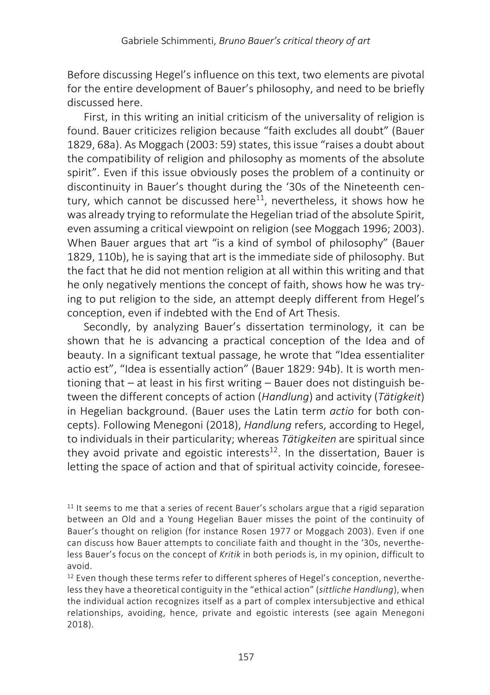Before discussing Hegel's influence on this text, two elements are pivotal for the entire development of Bauer's philosophy, and need to be briefly discussed here.

First, in this writing an initial criticism of the universality of religion is found. Bauer criticizes religion because "faith excludes all doubt" (Bauer 1829, 68a). As Moggach (2003: 59) states, this issue "raises a doubt about the compatibility of religion and philosophy as moments of the absolute spirit". Even if this issue obviously poses the problem of a continuity or discontinuity in Bauer's thought during the '30s of the Nineteenth century, which cannot be discussed here<sup>11</sup>, nevertheless, it shows how he was already trying to reformulate the Hegelian triad of the absolute Spirit, even assuming a critical viewpoint on religion (see Moggach 1996; 2003). When Bauer argues that art "is a kind of symbol of philosophy" (Bauer 1829, 110b), he is saying that art is the immediate side of philosophy. But the fact that he did not mention religion at all within this writing and that he only negatively mentions the concept of faith, shows how he was trying to put religion to the side, an attempt deeply different from Hegel's conception, even if indebted with the End of Art Thesis.

Secondly, by analyzing Bauer's dissertation terminology, it can be shown that he is advancing a practical conception of the Idea and of beauty. In a significant textual passage, he wrote that "Idea essentialiter actio est", "Idea is essentially action" (Bauer 1829: 94b). It is worth mentioning that – at least in his first writing – Bauer does not distinguish between the different concepts of action (*Handlung*) and activity (*Tätigkeit*) in Hegelian background. (Bauer uses the Latin term *actio* for both concepts). Following Menegoni (2018), *Handlung* refers, according to Hegel, to individuals in their particularity; whereas *Tätigkeiten* are spiritual since they avoid private and egoistic interests<sup>12</sup>. In the dissertation, Bauer is letting the space of action and that of spiritual activity coincide, foresee-

 $11$  It seems to me that a series of recent Bauer's scholars argue that a rigid separation between an Old and a Young Hegelian Bauer misses the point of the continuity of Bauer's thought on religion (for instance Rosen 1977 or Moggach 2003). Even if one can discuss how Bauer attempts to conciliate faith and thought in the '30s, nevertheless Bauer's focus on the concept of *Kritik* in both periods is, in my opinion, difficult to avoid.

 $12$  Even though these terms refer to different spheres of Hegel's conception, nevertheless they have a theoretical contiguity in the "ethical action" (*sittliche Handlung*), when the individual action recognizes itself as a part of complex intersubjective and ethical relationships, avoiding, hence, private and egoistic interests (see again Menegoni 2018).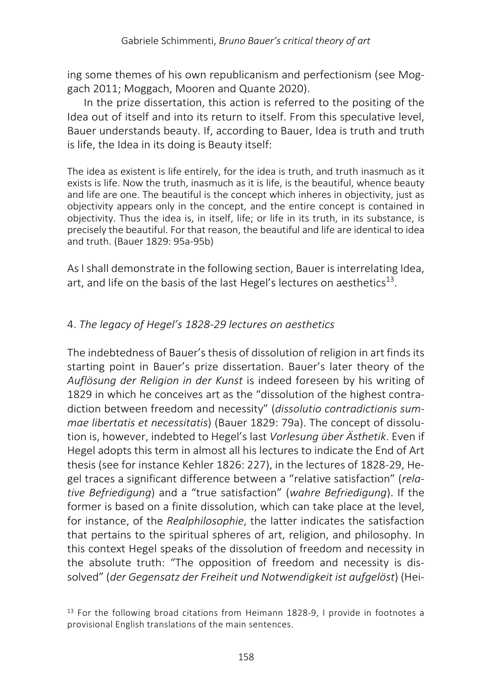ing some themes of his own republicanism and perfectionism (see Moggach 2011; Moggach, Mooren and Quante 2020).

In the prize dissertation, this action is referred to the positing of the Idea out of itself and into its return to itself. From this speculative level, Bauer understands beauty. If, according to Bauer, Idea is truth and truth is life, the Idea in its doing is Beauty itself:

The idea as existent is life entirely, for the idea is truth, and truth inasmuch as it exists is life. Now the truth, inasmuch as it is life, is the beautiful, whence beauty and life are one. The beautiful is the concept which inheres in objectivity, just as objectivity appears only in the concept, and the entire concept is contained in objectivity. Thus the idea is, in itself, life; or life in its truth, in its substance, is precisely the beautiful. For that reason, the beautiful and life are identical to idea and truth. (Bauer 1829: 95a-95b)

As I shall demonstrate in the following section, Bauer is interrelating Idea, art, and life on the basis of the last Hegel's lectures on aesthetics<sup>13</sup>.

### 4. *The legacy of Hegel's 1828-29 lectures on aesthetics*

The indebtedness of Bauer's thesis of dissolution of religion in art finds its starting point in Bauer's prize dissertation. Bauer's later theory of the *Auflösung der Religion in der Kunst* is indeed foreseen by his writing of 1829 in which he conceives art as the "dissolution of the highest contradiction between freedom and necessity" (*dissolutio contradictionis summae libertatis et necessitatis*) (Bauer 1829: 79a). The concept of dissolution is, however, indebted to Hegel's last *Vorlesung über Ästhetik*. Even if Hegel adopts this term in almost all his lectures to indicate the End of Art thesis (see for instance Kehler 1826: 227), in the lectures of 1828-29, Hegel traces a significant difference between a "relative satisfaction" (*relative Befriedigung*) and a "true satisfaction" (*wahre Befriedigung*). If the former is based on a finite dissolution, which can take place at the level, for instance, of the *Realphilosophie*, the latter indicates the satisfaction that pertains to the spiritual spheres of art, religion, and philosophy. In this context Hegel speaks of the dissolution of freedom and necessity in the absolute truth: "The opposition of freedom and necessity is dissolved" (*der Gegensatz der Freiheit und Notwendigkeit ist aufgelöst*) (Hei-

<sup>&</sup>lt;sup>13</sup> For the following broad citations from Heimann 1828-9, I provide in footnotes a provisional English translations of the main sentences.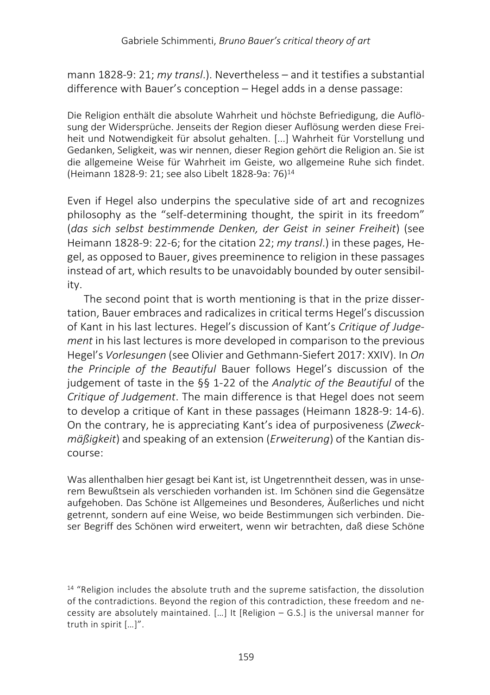mann 1828-9: 21; *my transl*.). Nevertheless – and it testifies a substantial difference with Bauer's conception – Hegel adds in a dense passage:

Die Religion enthält die absolute Wahrheit und höchste Befriedigung, die Auflösung der Widersprüche. Jenseits der Region dieser Auflösung werden diese Freiheit und Notwendigkeit für absolut gehalten. [...] Wahrheit für Vorstellung und Gedanken, Seligkeit, was wir nennen, dieser Region gehört die Religion an. Sie ist die allgemeine Weise für Wahrheit im Geiste, wo allgemeine Ruhe sich findet. (Heimann 1828-9: 21; see also Libelt 1828-9a: 76)14

Even if Hegel also underpins the speculative side of art and recognizes philosophy as the "self-determining thought, the spirit in its freedom" (*das sich selbst bestimmende Denken, der Geist in seiner Freiheit*) (see Heimann 1828-9: 22-6; for the citation 22; *my transl*.) in these pages, Hegel, as opposed to Bauer, gives preeminence to religion in these passages instead of art, which results to be unavoidably bounded by outer sensibility.

The second point that is worth mentioning is that in the prize dissertation, Bauer embraces and radicalizes in critical terms Hegel's discussion of Kant in his last lectures. Hegel's discussion of Kant's *Critique of Judgement* in his last lectures is more developed in comparison to the previous Hegel's *Vorlesungen* (see Olivier and Gethmann-Siefert 2017: XXIV). In *On the Principle of the Beautiful* Bauer follows Hegel's discussion of the judgement of taste in the §§ 1-22 of the *Analytic of the Beautiful* of the *Critique of Judgement*. The main difference is that Hegel does not seem to develop a critique of Kant in these passages (Heimann 1828-9: 14-6). On the contrary, he is appreciating Kant's idea of purposiveness (*Zweckmäßigkeit*) and speaking of an extension (*Erweiterung*) of the Kantian discourse:

Was allenthalben hier gesagt bei Kant ist, ist Ungetrenntheit dessen, was in unserem Bewußtsein als verschieden vorhanden ist. Im Schönen sind die Gegensätze aufgehoben. Das Schöne ist Allgemeines und Besonderes, Äußerliches und nicht getrennt, sondern auf eine Weise, wo beide Bestimmungen sich verbinden. Dieser Begriff des Schönen wird erweitert, wenn wir betrachten, daß diese Schöne

 $14$  "Religion includes the absolute truth and the supreme satisfaction, the dissolution of the contradictions. Beyond the region of this contradiction, these freedom and necessity are absolutely maintained. […] It [Religion – G.S.] is the universal manner for truth in spirit […]".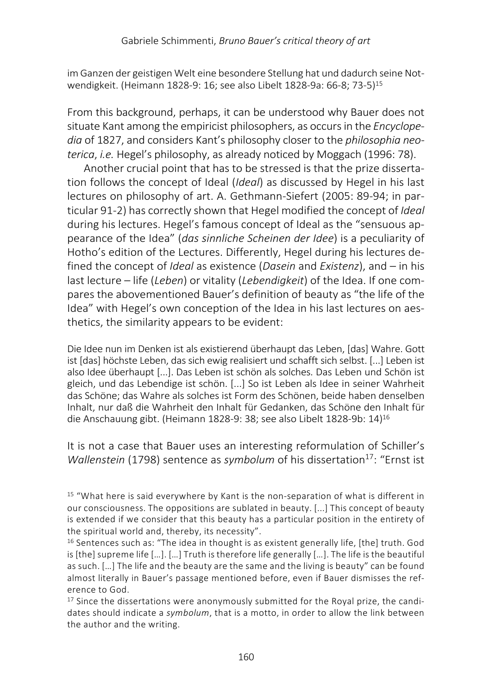im Ganzen der geistigen Welt eine besondere Stellung hat und dadurch seine Notwendigkeit. (Heimann 1828-9: 16; see also Libelt 1828-9a: 66-8; 73-5)15

From this background, perhaps, it can be understood why Bauer does not situate Kant among the empiricist philosophers, as occurs in the *Encyclopedia* of 1827, and considers Kant's philosophy closer to the *philosophia neoterica*, *i.e.* Hegel's philosophy, as already noticed by Moggach (1996: 78).

Another crucial point that has to be stressed is that the prize dissertation follows the concept of Ideal (*Ideal*) as discussed by Hegel in his last lectures on philosophy of art. A. Gethmann-Siefert (2005: 89-94; in particular 91-2) has correctly shown that Hegel modified the concept of *Ideal* during his lectures. Hegel's famous concept of Ideal as the "sensuous appearance of the Idea" (*das sinnliche Scheinen der Idee*) is a peculiarity of Hotho's edition of the Lectures. Differently, Hegel during his lectures defined the concept of *Ideal* as existence (*Dasein* and *Existenz*), and – in his last lecture – life (*Leben*) or vitality (*Lebendigkeit*) of the Idea. If one compares the abovementioned Bauer's definition of beauty as "the life of the Idea" with Hegel's own conception of the Idea in his last lectures on aesthetics, the similarity appears to be evident:

Die Idee nun im Denken ist als existierend überhaupt das Leben, [das] Wahre. Gott ist [das] höchste Leben, das sich ewig realisiert und schafft sich selbst. [...] Leben ist also Idee überhaupt [...]. Das Leben ist schön als solches. Das Leben und Schön ist gleich, und das Lebendige ist schön. [...] So ist Leben als Idee in seiner Wahrheit das Schöne; das Wahre als solches ist Form des Schönen, beide haben denselben Inhalt, nur daß die Wahrheit den Inhalt für Gedanken, das Schöne den Inhalt für die Anschauung gibt. (Heimann 1828-9: 38; see also Libelt 1828-9b: 14)16

It is not a case that Bauer uses an interesting reformulation of Schiller's *Wallenstein* (1798) sentence as *symbolum* of his dissertation<sup>17</sup>: "Ernst ist

<sup>15</sup> "What here is said everywhere by Kant is the non-separation of what is different in our consciousness. The oppositions are sublated in beauty. [...] This concept of beauty is extended if we consider that this beauty has a particular position in the entirety of the spiritual world and, thereby, its necessity".

 $16$  Sentences such as: "The idea in thought is as existent generally life, [the] truth. God is [the] supreme life […]. […] Truth is therefore life generally […]. The life is the beautiful as such. […] The life and the beauty are the same and the living is beauty" can be found almost literally in Bauer's passage mentioned before, even if Bauer dismisses the reference to God.

 $17$  Since the dissertations were anonymously submitted for the Royal prize, the candidates should indicate a *symbolum*, that is a motto, in order to allow the link between the author and the writing.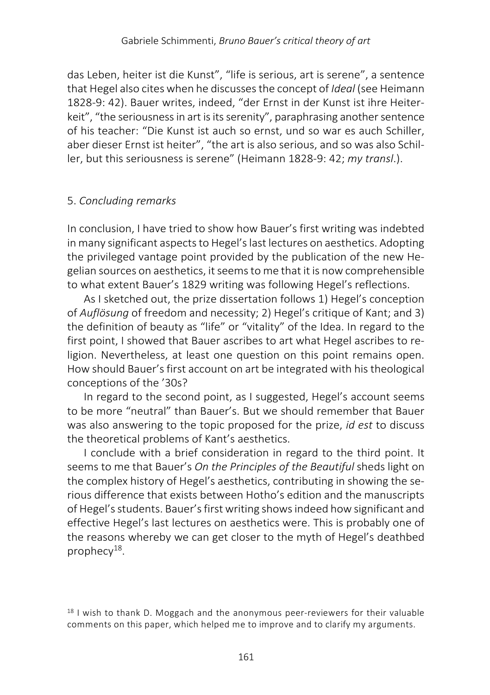das Leben, heiter ist die Kunst", "life is serious, art is serene", a sentence that Hegel also cites when he discusses the concept of *Ideal* (see Heimann 1828-9: 42). Bauer writes, indeed, "der Ernst in der Kunst ist ihre Heiterkeit", "the seriousness in art is its serenity", paraphrasing another sentence of his teacher: "Die Kunst ist auch so ernst, und so war es auch Schiller, aber dieser Ernst ist heiter", "the art is also serious, and so was also Schiller, but this seriousness is serene" (Heimann 1828-9: 42; *my transl*.).

#### 5. *Concluding remarks*

In conclusion, I have tried to show how Bauer's first writing was indebted in many significant aspects to Hegel's last lectures on aesthetics. Adopting the privileged vantage point provided by the publication of the new Hegelian sources on aesthetics, it seems to me that it is now comprehensible to what extent Bauer's 1829 writing was following Hegel's reflections.

As I sketched out, the prize dissertation follows 1) Hegel's conception of *Auflösung* of freedom and necessity; 2) Hegel's critique of Kant; and 3) the definition of beauty as "life" or "vitality" of the Idea. In regard to the first point, I showed that Bauer ascribes to art what Hegel ascribes to religion. Nevertheless, at least one question on this point remains open. How should Bauer's first account on art be integrated with his theological conceptions of the '30s?

In regard to the second point, as I suggested, Hegel's account seems to be more "neutral" than Bauer's. But we should remember that Bauer was also answering to the topic proposed for the prize, *id est* to discuss the theoretical problems of Kant's aesthetics.

I conclude with a brief consideration in regard to the third point. It seems to me that Bauer's *On the Principles of the Beautiful* sheds light on the complex history of Hegel's aesthetics, contributing in showing the serious difference that exists between Hotho's edition and the manuscripts of Hegel's students. Bauer's first writing shows indeed how significant and effective Hegel's last lectures on aesthetics were. This is probably one of the reasons whereby we can get closer to the myth of Hegel's deathbed prophecy $^{18}$ .

 $18$  I wish to thank D. Moggach and the anonymous peer-reviewers for their valuable comments on this paper, which helped me to improve and to clarify my arguments.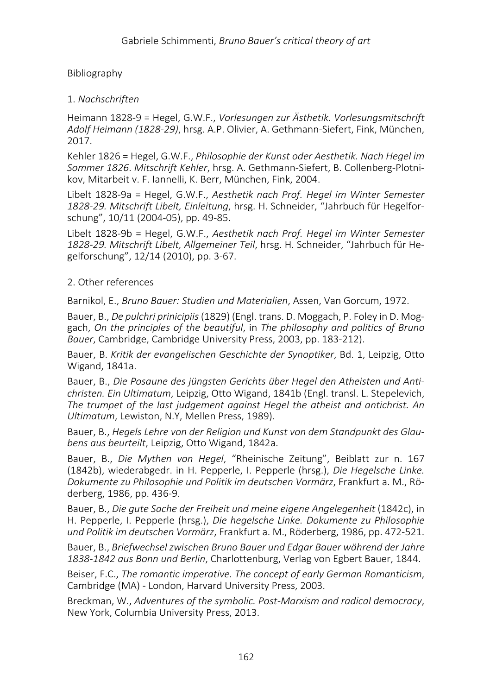#### Bibliography

#### 1. *Nachschriften*

Heimann 1828-9 = Hegel, G.W.F., *Vorlesungen zur Ästhetik. Vorlesungsmitschrift Adolf Heimann (1828-29)*, hrsg. A.P. Olivier, A. Gethmann-Siefert, Fink, München, 2017.

Kehler 1826 = Hegel, G.W.F., *Philosophie der Kunst oder Aesthetik. Nach Hegel im Sommer 1826*. *Mitschrift Kehler*, hrsg. A. Gethmann-Siefert, B. Collenberg-Plotnikov, Mitarbeit v. F. Iannelli, K. Berr, München, Fink, 2004.

Libelt 1828-9a = Hegel, G.W.F., *Aesthetik nach Prof. Hegel im Winter Semester 1828-29. Mitschrift Libelt, Einleitung*, hrsg. H. Schneider, "Jahrbuch für Hegelforschung", 10/11 (2004-05), pp. 49-85.

Libelt 1828-9b = Hegel, G.W.F., *Aesthetik nach Prof. Hegel im Winter Semester 1828-29. Mitschrift Libelt, Allgemeiner Teil*, hrsg. H. Schneider, "Jahrbuch für Hegelforschung", 12/14 (2010), pp. 3-67.

#### 2. Other references

Barnikol, E., *Bruno Bauer: Studien und Materialien*, Assen, Van Gorcum, 1972.

Bauer, B., *De pulchri prinicipiis*(1829) (Engl. trans. D. Moggach, P. Foley in D. Moggach, *On the principles of the beautiful*, in *The philosophy and politics of Bruno Bauer*, Cambridge, Cambridge University Press, 2003, pp. 183-212).

Bauer, B. *Kritik der evangelischen Geschichte der Synoptiker*, Bd. 1, Leipzig, Otto Wigand, 1841a.

Bauer, B., *Die Posaune des jüngsten Gerichts über Hegel den Atheisten und Antichristen. Ein Ultimatum*, Leipzig, Otto Wigand, 1841b (Engl. transl. L. Stepelevich, *The trumpet of the last judgement against Hegel the atheist and antichrist. An Ultimatum*, Lewiston, N.Y, Mellen Press, 1989).

Bauer, B., *Hegels Lehre von der Religion und Kunst von dem Standpunkt des Glaubens aus beurteilt*, Leipzig, Otto Wigand, 1842a.

Bauer, B., *Die Mythen von Hegel*, "Rheinische Zeitung", Beiblatt zur n. 167 (1842b), wiederabgedr. in H. Pepperle, I. Pepperle (hrsg.), *Die Hegelsche Linke. Dokumente zu Philosophie und Politik im deutschen Vormärz*, Frankfurt a. M., Röderberg, 1986, pp. 436-9.

Bauer, B., *Die gute Sache der Freiheit und meine eigene Angelegenheit* (1842c), in H. Pepperle, I. Pepperle (hrsg.), *Die hegelsche Linke. Dokumente zu Philosophie und Politik im deutschen Vormärz*, Frankfurt a. M., Röderberg, 1986, pp. 472-521.

Bauer, B., *Briefwechsel zwischen Bruno Bauer und Edgar Bauer während der Jahre 1838-1842 aus Bonn und Berlin*, Charlottenburg, Verlag von Egbert Bauer, 1844.

Beiser, F.C., *The romantic imperative. The concept of early German Romanticism*, Cambridge (MA) - London, Harvard University Press, 2003.

Breckman, W., *Adventures of the symbolic. Post-Marxism and radical democracy*, New York, Columbia University Press, 2013.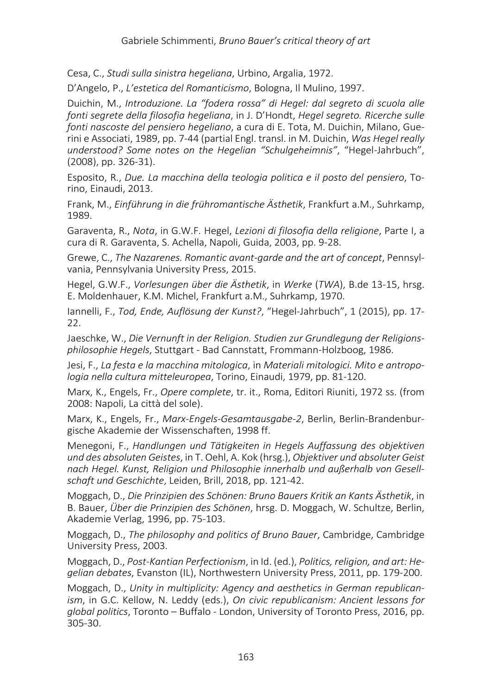Cesa, C., *Studi sulla sinistra hegeliana*, Urbino, Argalia, 1972.

D'Angelo, P., *L'estetica del Romanticismo*, Bologna, Il Mulino, 1997.

Duichin, M., *Introduzione. La "fodera rossa" di Hegel: dal segreto di scuola alle fonti segrete della filosofia hegeliana*, in J. D'Hondt, *Hegel segreto. Ricerche sulle fonti nascoste del pensiero hegeliano*, a cura di E. Tota, M. Duichin, Milano, Guerini e Associati, 1989, pp. 7-44 (partial Engl. transl. in M. Duichin, *Was Hegel really understood? Some notes on the Hegelian "Schulgeheimnis"*, "Hegel-Jahrbuch", (2008), pp. 326-31).

Esposito, R., *Due. La macchina della teologia politica e il posto del pensiero*, Torino, Einaudi, 2013.

Frank, M., *Einführung in die frühromantische Ästhetik*, Frankfurt a.M., Suhrkamp, 1989.

Garaventa, R., *Nota*, in G.W.F. Hegel, *Lezioni di filosofia della religione*, Parte I, a cura di R. Garaventa, S. Achella, Napoli, Guida, 2003, pp. 9-28.

Grewe, C., *The Nazarenes. Romantic avant-garde and the art of concept*, Pennsylvania, Pennsylvania University Press, 2015.

Hegel, G.W.F., *Vorlesungen über die Ästhetik*, in *Werke* (*TWA*), B.de 13-15, hrsg. E. Moldenhauer, K.M. Michel, Frankfurt a.M., Suhrkamp, 1970.

Iannelli, F., *Tod, Ende, Auflösung der Kunst?*, "Hegel-Jahrbuch", 1 (2015), pp. 17- 22.

Jaeschke, W., *Die Vernunft in der Religion. Studien zur Grundlegung der Religionsphilosophie Hegels*, Stuttgart - Bad Cannstatt, Frommann-Holzboog, 1986.

Jesi, F., *La festa e la macchina mitologica*, in *Materiali mitologici. Mito e antropologia nella cultura mitteleuropea*, Torino, Einaudi, 1979, pp. 81-120.

Marx, K., Engels, Fr., *Opere complete*, tr. it., Roma, Editori Riuniti, 1972 ss. (from 2008: Napoli, La città del sole).

Marx, K., Engels, Fr., *Marx-Engels-Gesamtausgabe-2*, Berlin, Berlin-Brandenburgische Akademie der Wissenschaften, 1998 ff.

Menegoni, F., *Handlungen und Tätigkeiten in Hegels Auffassung des objektiven und des absoluten Geistes*, in T. Oehl, A. Kok (hrsg.), *Objektiver und absoluter Geist nach Hegel. Kunst, Religion und Philosophie innerhalb und außerhalb von Gesellschaft und Geschichte*, Leiden, Brill, 2018, pp. 121-42.

Moggach, D., *Die Prinzipien des Schönen: Bruno Bauers Kritik an Kants Ästhetik*, in B. Bauer, *Über die Prinzipien des Schönen*, hrsg. D. Moggach, W. Schultze, Berlin, Akademie Verlag, 1996, pp. 75-103.

Moggach, D., *The philosophy and politics of Bruno Bauer*, Cambridge, Cambridge University Press, 2003.

Moggach, D., *Post-Kantian Perfectionism*, in Id. (ed.), *Politics, religion, and art: Hegelian debates*, Evanston (IL), Northwestern University Press, 2011, pp. 179-200.

Moggach, D., *Unity in multiplicity: Agency and aesthetics in German republicanism*, in G.C. Kellow, N. Leddy (eds.), *On civic republicanism: Ancient lessons for global politics*, Toronto – Buffalo - London, University of Toronto Press, 2016, pp. 305-30.